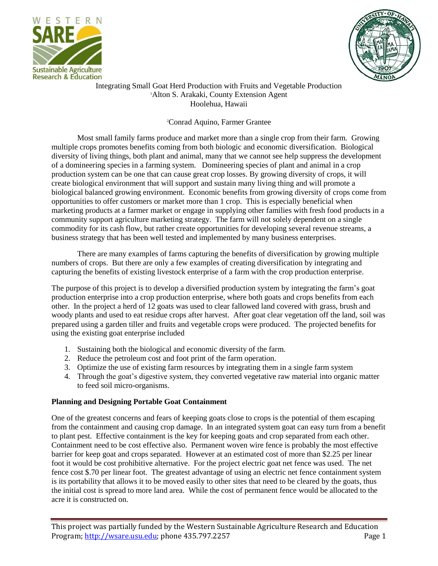



### Integrating Small Goat Herd Production with Fruits and Vegetable Production <sup>1</sup>Alton S. Arakaki, County Extension Agent Hoolehua, Hawaii

# <sup>2</sup>Conrad Aquino, Farmer Grantee

Most small family farms produce and market more than a single crop from their farm. Growing multiple crops promotes benefits coming from both biologic and economic diversification. Biological diversity of living things, both plant and animal, many that we cannot see help suppress the development of a domineering species in a farming system. Domineering species of plant and animal in a crop production system can be one that can cause great crop losses. By growing diversity of crops, it will create biological environment that will support and sustain many living thing and will promote a biological balanced growing environment. Economic benefits from growing diversity of crops come from opportunities to offer customers or market more than 1 crop. This is especially beneficial when marketing products at a farmer market or engage in supplying other families with fresh food products in a community support agriculture marketing strategy. The farm will not solely dependent on a single commodity for its cash flow, but rather create opportunities for developing several revenue streams, a business strategy that has been well tested and implemented by many business enterprises.

There are many examples of farms capturing the benefits of diversification by growing multiple numbers of crops. But there are only a few examples of creating diversification by integrating and capturing the benefits of existing livestock enterprise of a farm with the crop production enterprise.

The purpose of this project is to develop a diversified production system by integrating the farm's goat production enterprise into a crop production enterprise, where both goats and crops benefits from each other. In the project a herd of 12 goats was used to clear fallowed land covered with grass, brush and woody plants and used to eat residue crops after harvest. After goat clear vegetation off the land, soil was prepared using a garden tiller and fruits and vegetable crops were produced. The projected benefits for using the existing goat enterprise included

- 1. Sustaining both the biological and economic diversity of the farm.
- 2. Reduce the petroleum cost and foot print of the farm operation.
- 3. Optimize the use of existing farm resources by integrating them in a single farm system
- 4. Through the goat's digestive system, they converted vegetative raw material into organic matter to feed soil micro-organisms.

### **Planning and Designing Portable Goat Containment**

One of the greatest concerns and fears of keeping goats close to crops is the potential of them escaping from the containment and causing crop damage. In an integrated system goat can easy turn from a benefit to plant pest. Effective containment is the key for keeping goats and crop separated from each other. Containment need to be cost effective also. Permanent woven wire fence is probably the most effective barrier for keep goat and crops separated. However at an estimated cost of more than \$2.25 per linear foot it would be cost prohibitive alternative. For the project electric goat net fence was used. The net fence cost \$.70 per linear foot. The greatest advantage of using an electric net fence containment system is its portability that allows it to be moved easily to other sites that need to be cleared by the goats, thus the initial cost is spread to more land area. While the cost of permanent fence would be allocated to the acre it is constructed on.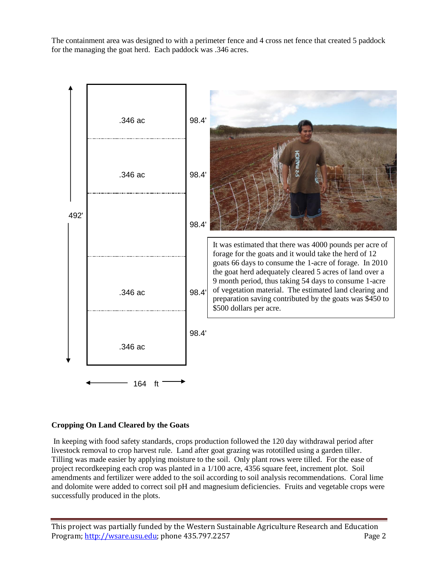The containment area was designed to with a perimeter fence and 4 cross net fence that created 5 paddock for the managing the goat herd. Each paddock was .346 acres.



### **Cropping On Land Cleared by the Goats**

In keeping with food safety standards, crops production followed the 120 day withdrawal period after livestock removal to crop harvest rule. Land after goat grazing was rototilled using a garden tiller. Tilling was made easier by applying moisture to the soil. Only plant rows were tilled. For the ease of project recordkeeping each crop was planted in a 1/100 acre, 4356 square feet, increment plot. Soil amendments and fertilizer were added to the soil according to soil analysis recommendations. Coral lime and dolomite were added to correct soil pH and magnesium deficiencies. Fruits and vegetable crops were successfully produced in the plots.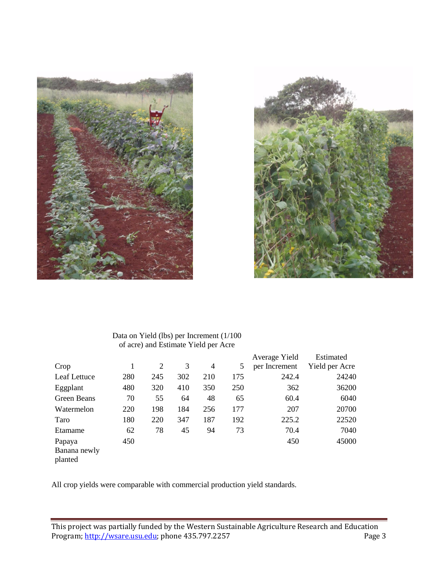



## Data on Yield (lbs) per Increment (1/100 of acre) and Estimate Yield per Acre

|              |     |     |     |                |     | Average Yield | Estimated      |
|--------------|-----|-----|-----|----------------|-----|---------------|----------------|
| Crop         |     | 2   | 3   | $\overline{4}$ | 5   | per Increment | Yield per Acre |
| Leaf Lettuce | 280 | 245 | 302 | 210            | 175 | 242.4         | 24240          |
| Eggplant     | 480 | 320 | 410 | 350            | 250 | 362           | 36200          |
| Green Beans  | 70  | 55  | 64  | 48             | 65  | 60.4          | 6040           |
| Watermelon   | 220 | 198 | 184 | 256            | 177 | 207           | 20700          |
| Taro         | 180 | 220 | 347 | 187            | 192 | 225.2         | 22520          |
| Etamame      | 62  | 78  | 45  | 94             | 73  | 70.4          | 7040           |
| Papaya       | 450 |     |     |                |     | 450           | 45000          |
| Banana newly |     |     |     |                |     |               |                |
| planted      |     |     |     |                |     |               |                |

All crop yields were comparable with commercial production yield standards.